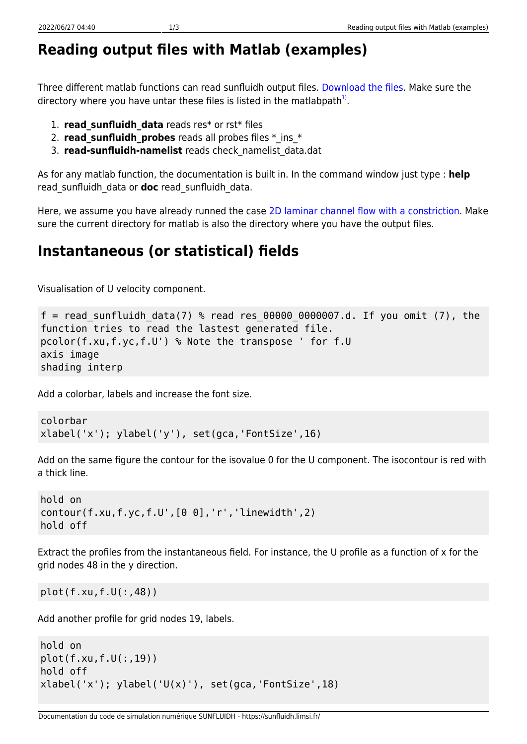## **Reading output files with Matlab (examples)**

Three different matlab functions can read sunfluidh output files. [Download the files.](https://sunfluidh.limsi.fr/_media/sunfluidh:matlabforsunfluidh.tar) Make sure the directory where you have untar these files is listed in the matlabpath $^{1)}$  $^{1)}$  $^{1)}$ .

- 1. **read\_sunfluidh\_data** reads res\* or rst\* files
- 2. **read sunfluidh probes** reads all probes files  $*$  ins  $*$
- 3. **read-sunfluidh-namelist** reads check\_namelist\_data.dat

As for any matlab function, the documentation is built in. In the command window just type : **help** read\_sunfluidh\_data or **doc** read\_sunfluidh\_data.

Here, we assume you have already runned the case [2D laminar channel flow with a constriction](https://sunfluidh.limsi.fr/sunfluidh:2d_channel_flow_with_bar_incomp_flow). Make sure the current directory for matlab is also the directory where you have the output files.

## **Instantaneous (or statistical) fields**

Visualisation of U velocity component.

```
f = read sunfluidh data(7) % read res 00000 0000007.d. If you omit (7), the
function tries to read the lastest generated file.
pcolor(f.xu,f.yc,f.U') % Note the transpose ' for f.U
axis image
shading interp
```
Add a colorbar, labels and increase the font size.

```
colorbar
xlabel('x'); ylabel('y'), set(gca,'FontSize',16)
```
Add on the same figure the contour for the isovalue 0 for the U component. The isocontour is red with a thick line.

```
hold on
contour(f.xu,f.yc,f.U',[0 0],'r','linewidth',2)
hold off
```
Extract the profiles from the instantaneous field. For instance, the U profile as a function of x for the grid nodes 48 in the y direction.

plot(f.xu,f.U(:,48))

Add another profile for grid nodes 19, labels.

```
hold on
plot(f.xu,f.U(:,19))
hold off
xlabel('x'); ylabel('U(x)');\ set(gca,'FontSize',18)
```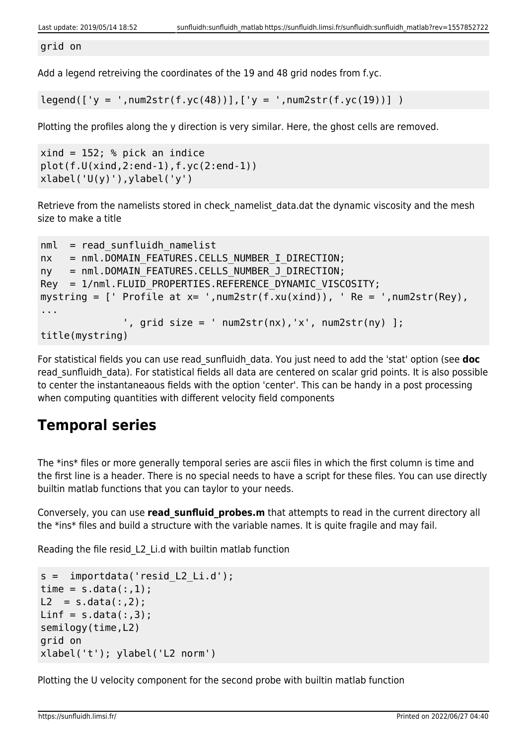grid on

Add a legend retreiving the coordinates of the 19 and 48 grid nodes from f.yc.

 $legend([y = ',num2str(f.yc(48))], ['y = ',num2str(f.yc(19))])$ 

Plotting the profiles along the y direction is very similar. Here, the ghost cells are removed.

```
xind = 152; % pick an indice
plot(f.U(xind,2:end-1),f.yc(2:end-1))
xlabel('U(y)'), ylabel('y')
```
Retrieve from the namelists stored in check namelist data.dat the dynamic viscosity and the mesh size to make a title

```
nml = read sunfluidh namelistnx = nml.DOMAIN FEATURES.CELLS NUMBER I DIRECTION;
ny = nml.DOMAIN FEATURES.CELLS NUMBER J DIRECTION;
Rey = 1/nml.FLUID PROPERTIES.REFERENCE DYNAMIC VISCOSITY;
mystring = [ Profile at x= ', num2str(f.xu(xind)), \prime Re = \prime, num2str(Rey),
...
              ', grid size = ' num2str(nx), 'x', num2str(ny) ];
title(mystring)
```
For statistical fields you can use read\_sunfluidh\_data. You just need to add the 'stat' option (see **doc** read sunfluidh data). For statistical fields all data are centered on scalar grid points. It is also possible to center the instantaneaous fields with the option 'center'. This can be handy in a post processing when computing quantities with different velocity field components

## **Temporal series**

The \*ins\* files or more generally temporal series are ascii files in which the first column is time and the first line is a header. There is no special needs to have a script for these files. You can use directly builtin matlab functions that you can taylor to your needs.

Conversely, you can use **read sunfluid probes.m** that attempts to read in the current directory all the \*ins\* files and build a structure with the variable names. It is quite fragile and may fail.

Reading the file resid\_L2\_Li.d with builtin matlab function

```
s = importdata('resid L2 Li.d');
time = s.data(:,1);L2 = s.data(:, 2);Linf = s.data(:,3);semilogy(time,L2)
grid on
xlabel('t'); ylabel('L2 norm')
```
Plotting the U velocity component for the second probe with builtin matlab function